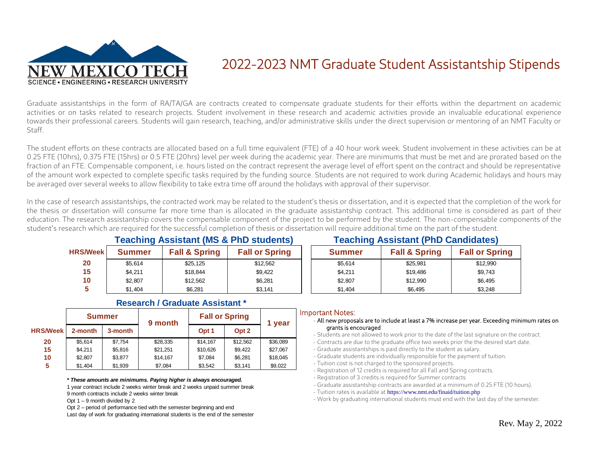

# 2022-2023 NMT Graduate Student Assistantship Stipends

Graduate assistantships in the form of RA/TA/GA are contracts created to compensate graduate students for their efforts within the department on academic activities or on tasks related to research projects. Student involvement in these research and academic activities provide an invaluable educational experience towards their professional careers. Students will gain research, teaching, and/or administrative skills under the direct supervision or mentoring of an NMT Faculty or Staff.

The student efforts on these contracts are allocated based on a full time equivalent (FTE) of a 40 hour work week. Student involvement in these activities can be at 0.25 FTE (10hrs), 0.375 FTE (15hrs) or 0.5 FTE (20hrs) level per week during the academic year. There are minimums that must be met and are prorated based on the fraction of an FTE. Compensable component, i.e. hours listed on the contract represent the average level of effort spent on the contract and should be representative of the amount work expected to complete specific tasks required by the funding source. Students are not required to work during Academic holidays and hours may be averaged over several weeks to allow flexibility to take extra time off around the holidays with approval of their supervisor.

In the case of research assistantships, the contracted work may be related to the student's thesis or dissertation, and it is expected that the completion of the work for the thesis or dissertation will consume far more time than is allocated in the graduate assistantship contract. This additional time is considered as part of their education. The research assistantship covers the compensable component of the project to be performed by the student. The non-compensable components of the student's research which are required for the successful completion of thesis or dissertation will require additional time on the part of the student.

|                 | <b>Teaching Assistant (MS &amp; PhD students)</b> |                          |                       | <b>Teaching Assistant (PhD Candidates)</b> |                          |                       |  |
|-----------------|---------------------------------------------------|--------------------------|-----------------------|--------------------------------------------|--------------------------|-----------------------|--|
| <b>HRS/Week</b> | <b>Summer</b>                                     | <b>Fall &amp; Spring</b> | <b>Fall or Spring</b> | <b>Summer</b>                              | <b>Fall &amp; Spring</b> | <b>Fall or Spring</b> |  |
| 20              | \$5.614                                           | \$25.125                 | \$12.562              | \$5.614                                    | \$25.981                 | \$12.990              |  |
| 15              | \$4.211                                           | \$18,844                 | \$9,422               | \$4,211                                    | \$19.486                 | \$9.743               |  |
| 10              | \$2,807                                           | \$12.562                 | \$6,281               | \$2,807                                    | \$12.990                 | \$6.495               |  |
|                 | \$1,404                                           | \$6.281                  | \$3.141               | \$1,404                                    | \$6.495                  | \$3.248               |  |

|                 | <b>Summer</b> |         | 9 month  | <b>Fall or Spring</b> | 1 year           |          |
|-----------------|---------------|---------|----------|-----------------------|------------------|----------|
| <b>HRS/Week</b> | 2-month       | 3-month |          | Opt <sub>1</sub>      | Opt <sub>2</sub> |          |
| 20              | \$5.614       | \$7.754 | \$28,335 | \$14.167              | \$12.562         | \$36,089 |
| 15              | \$4.211       | \$5,816 | \$21,251 | \$10,626              | \$9.422          | \$27,067 |
| 10              | \$2.807       | \$3.877 | \$14,167 | \$7,084               | \$6,281          | \$18,045 |
| 5               | \$1,404       | \$1,939 | \$7,084  | \$3,542               | \$3,141          | \$9,022  |

#### **Research / Graduate Assistant \***

*\* These amounts are minimums. Paying higher is always encouraged.*

1 year contract include 2 weeks winter break and 2 weeks unpaid summer break

9 month contracts include 2 weeks winter break

Opt  $1 - 9$  month divided by 2

Opt 2 – period of performance tied with the semester beginning and end

Last day of work for graduating international students is the end of the semester

#### Important Notes:

#### - All new proposals are to include at least a 7% increase per year. Exceeding minimum rates on grants is encouraged

- Students are not allowed to work prior to the date of the last signature on the contract.
- Contracts are due to the graduate office two weeks prior the the desired start date.
- Graduate assistantships is paid directly to the student as salary.
- Graduate students are individually responsible for the payment of tuition.
- Tuition cost is not charged to the sponsored projects.
- Registration of 12 credits is required for all Fall and Spring contracts.
- Registration of 3 credits is required for Summer contracts
- Graduate assistantship contracts are awarded at a minimum of 0.25 FTE (10 hours).
- Tuition rates is available at <https://www.nmt.edu/finaid/tuition.php>
- Work by graduating international students must end with the last day of the semester.